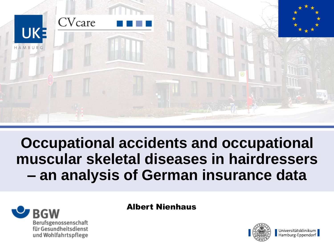

**Occupational accidents and occupational muscular skeletal diseases in hairdressers – an analysis of German insurance data**



#### Albert Nienhaus

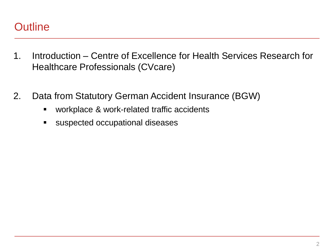#### **Outline**

- 1. Introduction Centre of Excellence for Health Services Research for Healthcare Professionals (CVcare)
- 2. Data from Statutory German Accident Insurance (BGW)
	- **•** workplace & work-related traffic accidents
	- **s** suspected occupational diseases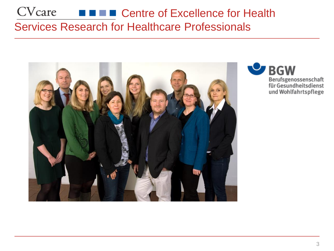### CVcare **FILE Centre of Excellence for Health** Services Research for Healthcare Professionals



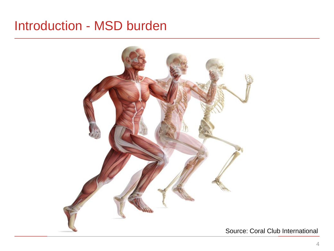## Introduction - MSD burden



Source: Coral Club International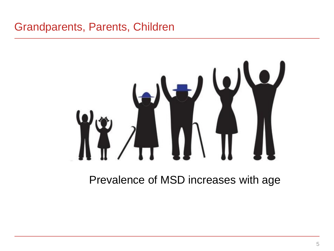### Grandparents, Parents, Children

Prevalence of MSD increases with age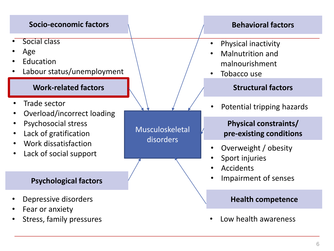#### **Socio-economic factors**

- Social class
- Age
- **Education**
- Labour status/unemployment

#### **Work-related factors**

- Trade sector
- Overload/incorrect loading
- Psychosocial stress
- Lack of gratification
- Work dissatisfaction
- Lack of social support

#### **Psychological factors**

- Depressive disorders
- Fear or anxiety
- Stress, family pressures

Musculoskeletal disorders

#### **Behavioral factors**

- Physical inactivity
- Malnutrition and malnourishment
- Tobacco use

#### **Structural factors**

Potential tripping hazards

#### **Physical constraints/ pre-existing conditions**

- Overweight / obesity
- Sport injuries
- **Accidents**
- Impairment of senses

#### **Health competence**

• Low health awareness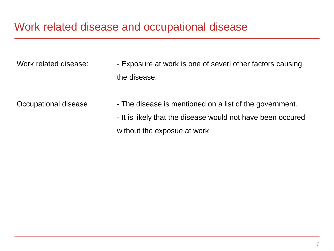#### Work related disease and occupational disease

Work related disease: - - Exposure at work is one of severl other factors causing the disease.

- Occupational disease  $\blacksquare$  The disease is mentioned on a list of the government.
	- It is likely that the disease would not have been occured without the exposue at work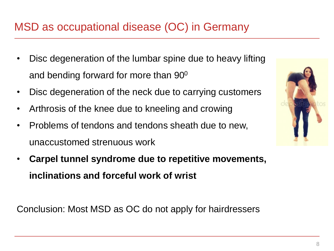### MSD as occupational disease (OC) in Germany

- Disc degeneration of the lumbar spine due to heavy lifting and bending forward for more than 90<sup>0</sup>
- Disc degeneration of the neck due to carrying customers
- Arthrosis of the knee due to kneeling and crowing
- Problems of tendons and tendons sheath due to new, unaccustomed strenuous work
- **Carpel tunnel syndrome due to repetitive movements, inclinations and forceful work of wrist**

Conclusion: Most MSD as OC do not apply for hairdressers

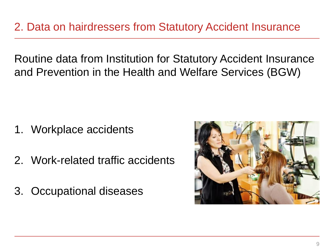2. Data on hairdressers from Statutory Accident Insurance

Routine data from Institution for Statutory Accident Insurance and Prevention in the Health and Welfare Services (BGW)

- 1. Workplace accidents
- 2. Work-related traffic accidents
- 3. Occupational diseases

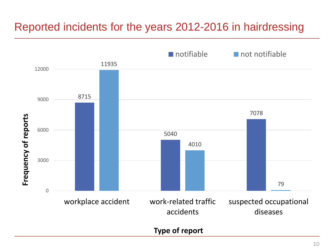### Reported incidents for the years 2012-2016 in hairdressing

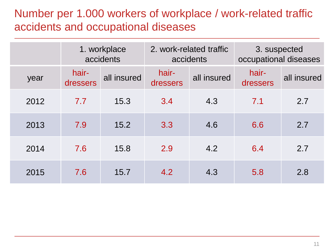### Number per 1.000 workers of workplace / work-related traffic accidents and occupational diseases

|      | 1. workplace<br>accidents |             | 2. work-related traffic | accidents   | 3. suspected<br>occupational diseases |             |  |
|------|---------------------------|-------------|-------------------------|-------------|---------------------------------------|-------------|--|
| year | hair-<br>dressers         | all insured | hair-<br>dressers       | all insured | hair-<br>dressers                     | all insured |  |
| 2012 | 7.7                       | 15.3        | 3.4                     | 4.3         | 7.1                                   | 2.7         |  |
| 2013 | 7.9                       | 15.2        | 3.3                     | 4.6         | 6.6                                   | 2.7         |  |
| 2014 | 7.6                       | 15.8        | 2.9                     | 4.2         | 6.4                                   | 2.7         |  |
| 2015 | 7.6                       | 15.7        | 4.2                     | 4.3         | 5.8                                   | 2.8         |  |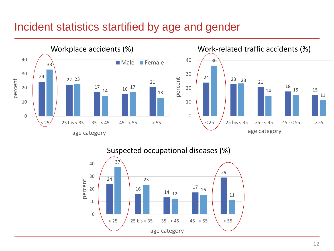#### Incident statistics startified by age and gender



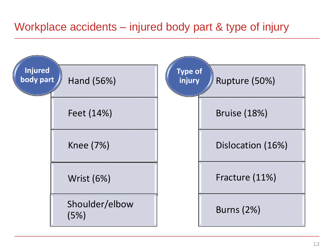### Workplace accidents – injured body part & type of injury

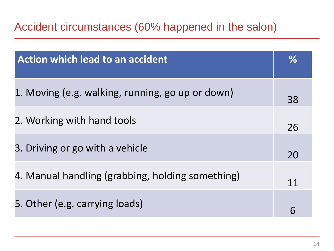### Accident circumstances (60% happened in the salon)

| <b>Action which lead to an accident</b>          | $\%$ |
|--------------------------------------------------|------|
| 1. Moving (e.g. walking, running, go up or down) | 38   |
| 2. Working with hand tools                       | 26   |
| 3. Driving or go with a vehicle                  | 20   |
| 4. Manual handling (grabbing, holding something) | 11   |
| 5. Other (e.g. carrying loads)                   | 6    |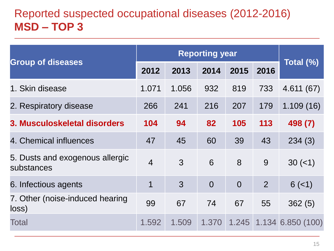### Reported suspected occupational diseases (2012-2016) **MSD – TOP 3**

| <b>Group of diseases</b>                      | 2012           | 2013  | 2014           | 2015           | 2016           | Total (%)         |  |
|-----------------------------------------------|----------------|-------|----------------|----------------|----------------|-------------------|--|
| 1. Skin disease                               | 1.071          | 1.056 | 932            | 819            | 733            | 4.611(67)         |  |
| 2. Respiratory disease                        | 266            | 241   | 216            | 207            | 179            | 1.109(16)         |  |
| 3. Musculoskeletal disorders                  | 104            | 94    | 82             | 105            | 113            | 498 (7)           |  |
| 4. Chemical influences                        | 47             | 45    | 60             | 39             | 43             | 234(3)            |  |
| 5. Dusts and exogenous allergic<br>substances | $\overline{4}$ | 3     | 6              | 8              | 9              | $30 (=1)$         |  |
| 6. Infectious agents                          | 1              | 3     | $\overline{0}$ | $\overline{0}$ | $\overline{2}$ | $6(-1)$           |  |
| 7. Other (noise-induced hearing)<br>loss)     | 99             | 67    | 74             | 67             | 55             | 362(5)            |  |
| <b>Total</b>                                  | 1.592          | 1.509 | 1.370          | 1.245          |                | 1.134 6.850 (100) |  |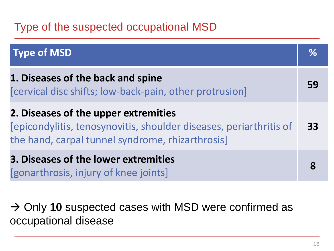### Type of the suspected occupational MSD

| <b>Type of MSD</b>                                                                                                                                             | $\%$ |
|----------------------------------------------------------------------------------------------------------------------------------------------------------------|------|
| 1. Diseases of the back and spine<br>[cervical disc shifts; low-back-pain, other protrusion]                                                                   | 59   |
| 2. Diseases of the upper extremities<br>[epicondylitis, tenosynovitis, shoulder diseases, periarthritis of<br>the hand, carpal tunnel syndrome, rhizarthrosis] | 33   |
| 3. Diseases of the lower extremities<br>[gonarthrosis, injury of knee joints]                                                                                  |      |

→ Only 10 suspected cases with MSD were confirmed as occupational disease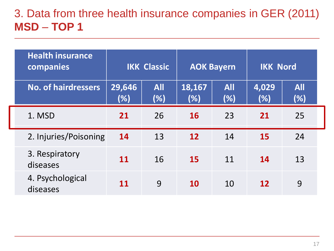### 3. Data from three health insurance companies in GER (2011) **MSD** – **TOP 1**

| <b>Health insurance</b><br>companies | <b>IKK Classic</b> |                   | <b>AOK Bayern</b> |                   | <b>IKK Nord</b> |                   |
|--------------------------------------|--------------------|-------------------|-------------------|-------------------|-----------------|-------------------|
| <b>No. of hairdressers</b>           | 29,646<br>(%)      | <b>All</b><br>(%) | 18,167<br>(%)     | <b>All</b><br>(%) | 4,029<br>(%)    | <b>All</b><br>(%) |
| 1. MSD                               | 21                 | 26                | <b>16</b>         | 23                | 21              | 25                |
| 2. Injuries/Poisoning                | 14                 | 13                | 12                | 14                | <b>15</b>       | 24                |
| 3. Respiratory<br>diseases           | 11                 | 16                | <b>15</b>         | 11                | 14              | 13                |
| 4. Psychological<br>diseases         | <b>11</b>          | 9                 | <b>10</b>         | 10                | <b>12</b>       | 9                 |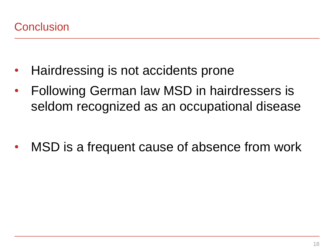- Hairdressing is not accidents prone
- Following German law MSD in hairdressers is seldom recognized as an occupational disease

MSD is a frequent cause of absence from work